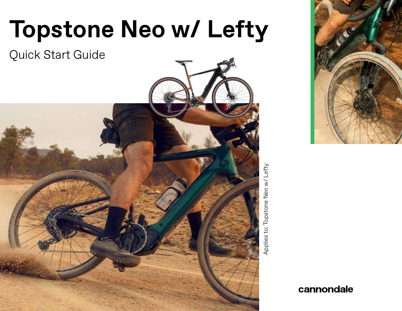# **Topstone Neo w/ Lefty**

Quick Start Guide

Applies to: Topstone Neo w/ Lefty Applies to: Topstone Neo w/ Lefty



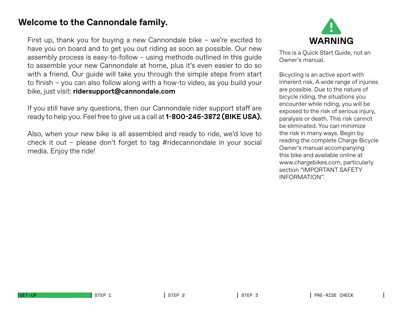#### **Welcome to the Cannondale family.**

First up, thank you for buying a new Cannondale bike – we're excited to have you on board and to get you out riding as soon as possible. Our new assembly process is easy-to-follow – using methods outlined in this guide to assemble your new Cannondale at home, plus it's even easier to do so with a friend. Our guide will take you through the simple steps from start to finish – you can also follow along with a how-to video, as you build your bike, just visit: **ridersupport@cannondale.com**

If you still have any questions, then our Cannondale rider support staff are ready to help you. Feel free to give us a call at **1-800-245-3872 (BIKE USA).**

Also, when your new bike is all assembled and ready to ride, we'd love to check it out – please don't forget to tag #ridecannondale in your social media. Enjoy the ride!



This is a Quick Start Guide, not an Owner's manual.

Bicycling is an active sport with inherent risk. A wide range of injuries are possible. Due to the nature of bicycle riding, the situations you encounter while riding, you will be exposed to the risk of serious injury, paralysis or death. This risk cannot be eliminated. You can minimize the risk in many ways. Begin by reading the complete Charge Bicycle Owner's manual accompanying this bike and available online at www.chargebikes.com, particularly section "IMPORTANT SAFETY INFORMATION".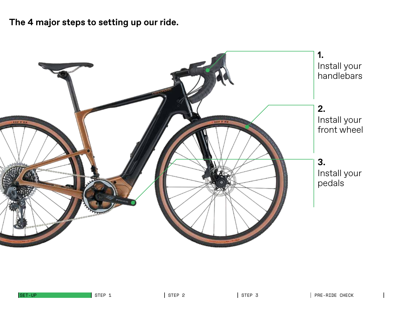**The 4 major steps to setting up our ride.**

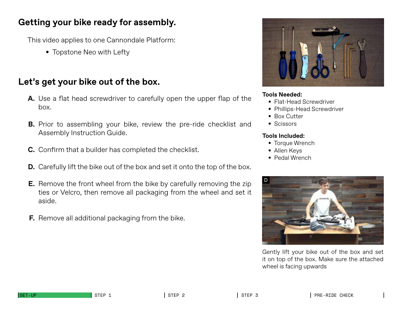### **Getting your bike ready for assembly.**

This video applies to one Cannondale Platform:

• Topstone Neo with Lefty

### **Let's get your bike out of the box.**

- Use a flat head screwdriver to carefully open the upper flap of the **A.**  box.
- **B.** Prior to assembling your bike, review the pre-ride checklist and Assembly Instruction Guide.
- **C.** Confirm that a builder has completed the checklist.
- **D.** Carefully lift the bike out of the box and set it onto the top of the box.
- **E.** Remove the front wheel from the bike by carefully removing the zip ties or Velcro, then remove all packaging from the wheel and set it aside.
- F. Remove all additional packaging from the bike.



#### **Tools Needed:**

- Flat-Head Screwdriver
- Phillips-Head Screwdriver
- Box Cutter
- Scissors

#### **Tools Included:**

- Torque Wrench
- Allen Keys
- Pedal Wrench



Gently lift your bike out of the box and set it on top of the box. Make sure the attached wheel is facing upwards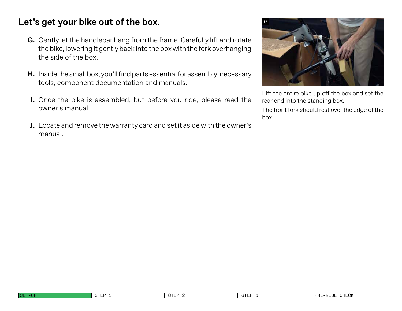#### **Let's get your bike out of the box.**

- **G.** Gently let the handlebar hang from the frame. Carefully lift and rotate the bike, lowering it gently back into the box with the fork overhanging the side of the box.
- H. Inside the small box, you'll find parts essential for assembly, necessary tools, component documentation and manuals.
- Once the bike is assembled, but before you ride, please read the **I.** owner's manual.
- Locate and remove the warranty card and set it aside with the owner's **J.** manual.



Lift the entire bike up off the box and set the rear end into the standing box.

The front fork should rest over the edge of the box.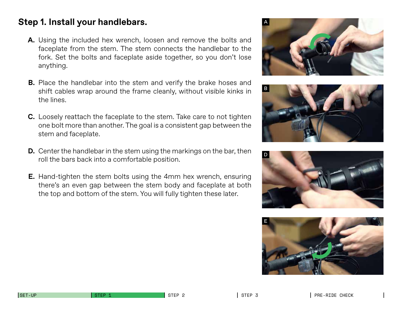#### **Step 1. Install your handlebars.** <sup>A</sup>

- Using the included hex wrench, loosen and remove the bolts and **A.**  faceplate from the stem. The stem connects the handlebar to the fork. Set the bolts and faceplate aside together, so you don't lose anything.
- **B.** Place the handlebar into the stem and verify the brake hoses and shift cables wrap around the frame cleanly, without visible kinks in the lines.
- Loosely reattach the faceplate to the stem. Take care to not tighten **C.** one bolt more than another. The goal is a consistent gap between the stem and faceplate.
- Center the handlebar in the stem using the markings on the bar, then **D.** roll the bars back into a comfortable position.
- **E.** Hand-tighten the stem bolts using the 4mm hex wrench, ensuring there's an even gap between the stem body and faceplate at both the top and bottom of the stem. You will fully tighten these later.







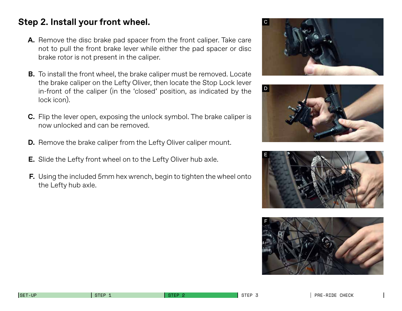### **Step 2. Install your front wheel.**

- A. Remove the disc brake pad spacer from the front caliper. Take care not to pull the front brake lever while either the pad spacer or disc brake rotor is not present in the caliper.
- To install the front wheel, the brake caliper must be removed. Locate **B.**  the brake caliper on the Lefty Oliver, then locate the Stop Lock lever in-front of the caliper (in the 'closed' position, as indicated by the lock icon).
- Flip the lever open, exposing the unlock symbol. The brake caliper is **C.** now unlocked and can be removed.
- **D.** Remove the brake caliper from the Lefty Oliver caliper mount.
- **E.** Slide the Lefty front wheel on to the Lefty Oliver hub axle.
- Using the included 5mm hex wrench, begin to tighten the wheel onto **F.**  the Lefty hub axle.







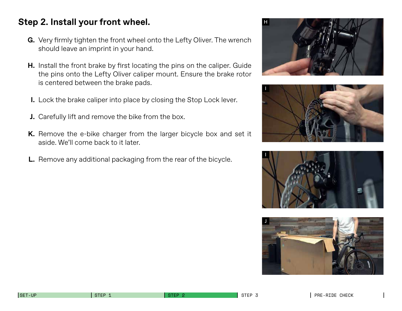### **Step 2. Install your front wheel.**

- Very firmly tighten the front wheel onto the Lefty Oliver. The wrench **G.** should leave an imprint in your hand.
- H. Install the front brake by first locating the pins on the caliper. Guide the pins onto the Lefty Oliver caliper mount. Ensure the brake rotor is centered between the brake pads.
- Lock the brake caliper into place by closing the Stop Lock lever. **I.**
- Carefully lift and remove the bike from the box. **J.**
- K. Remove the e-bike charger from the larger bicycle box and set it aside. We'll come back to it later.
- **L.** Remove any additional packaging from the rear of the bicycle.







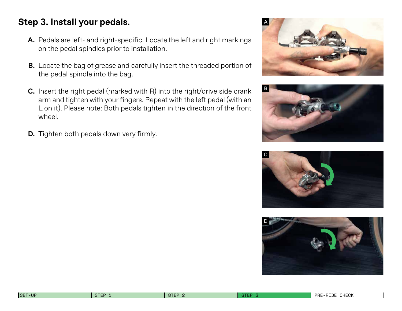#### **Step 3. Install your pedals.**

- Pedals are left- and right-specific. Locate the left and right markings **A.** on the pedal spindles prior to installation.
- Locate the bag of grease and carefully insert the threaded portion of **B.** the pedal spindle into the bag.
- **C.** Insert the right pedal (marked with R) into the right/drive side crank arm and tighten with your fingers. Repeat with the left pedal (with an L on it). Please note: Both pedals tighten in the direction of the front wheel.
- **D.** Tighten both pedals down very firmly.







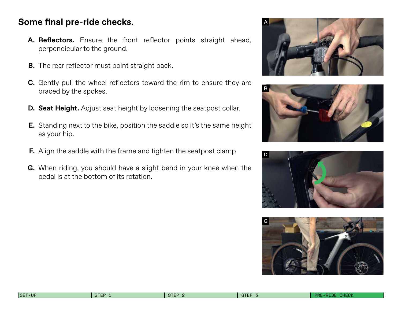- **Reflectors.** Ensure the front reflector points straight ahead, **A.** perpendicular to the ground.
- **B.** The rear reflector must point straight back.
- **C.** Gently pull the wheel reflectors toward the rim to ensure they are braced by the spokes.
- **Seat Height.** Adjust seat height by loosening the seatpost collar. **D.**
- **E.** Standing next to the bike, position the saddle so it's the same height as your hip.
- Align the saddle with the frame and tighten the seatpost clamp **F.**
- When riding, you should have a slight bend in your knee when the **G.** pedal is at the bottom of its rotation.









| UMEUN | SET-UP | <b>STEP</b> | STEP <sub>2</sub> | STEP | [0]<br>DD. |
|-------|--------|-------------|-------------------|------|------------|
|-------|--------|-------------|-------------------|------|------------|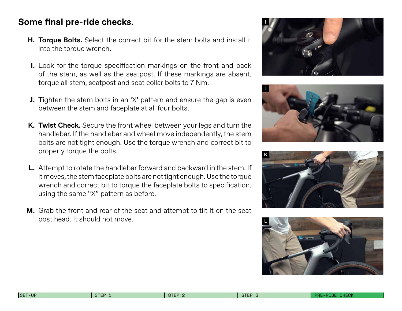- **Torque Bolts.** Select the correct bit for the stem bolts and install it **H.** into the torque wrench.
- Look for the torque specification markings on the front and back **I.** of the stem, as well as the seatpost. If these markings are absent, torque all stem, seatpost and seat collar bolts to 7 Nm.
- **J.** Tighten the stem bolts in an 'X' pattern and ensure the gap is even between the stem and faceplate at all four bolts.
- **Twist Check.** Secure the front wheel between your legs and turn the **K.** handlebar. If the handlebar and wheel move independently, the stem bolts are not tight enough. Use the torque wrench and correct bit to properly torque the bolts.
- Attempt to rotate the handlebar forward and backward in the stem. If **L.** it moves, the stem faceplate bolts are not tight enough. Use the torque wrench and correct bit to torque the faceplate bolts to specification, using the same "X" pattern as before.
- M. Grab the front and rear of the seat and attempt to tilt it on the seat post head. It should not move.







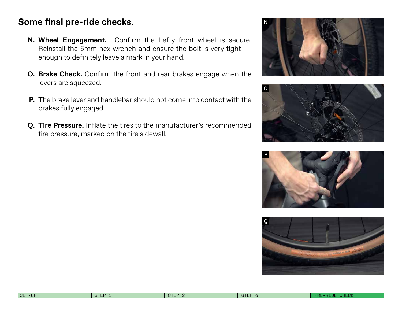- **Wheel Engagement.** Confirm the Lefty front wheel is secure. **N.** Reinstall the 5mm hex wrench and ensure the bolt is very tight -enough to definitely leave a mark in your hand.
- **Brake Check.** Confirm the front and rear brakes engage when the **O.** levers are squeezed.
- **P.** The brake lever and handlebar should not come into contact with the brakes fully engaged.
- **Tire Pressure.** Inflate the tires to the manufacturer's recommended **Q.** tire pressure, marked on the tire sidewall.









|  | SET-UP | STEP. | STEP <sub>2</sub> | STEP | <b>OUTOR</b><br>םחדכ<br>חרו<br>UMEUN<br>. . |
|--|--------|-------|-------------------|------|---------------------------------------------|
|--|--------|-------|-------------------|------|---------------------------------------------|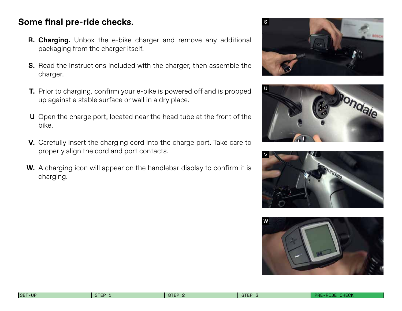- **Charging.** Unbox the e-bike charger and remove any additional **R.** packaging from the charger itself.
- **S.** Read the instructions included with the charger, then assemble the charger.
- **T.** Prior to charging, confirm your e-bike is powered off and is propped up against a stable surface or wall in a dry place.
- Open the charge port, located near the head tube at the front of the **U** bike.
- Carefully insert the charging cord into the charge port. Take care to **V.** properly align the cord and port contacts.
- **W.** A charging icon will appear on the handlebar display to confirm it is charging.









| SET-UP<br>STEP <sub>2</sub><br>$\sqrt{\text{STEP}}$<br><b>STEP</b><br>E-RIDE CHECK<br><b>PRE</b> |
|--------------------------------------------------------------------------------------------------|
|--------------------------------------------------------------------------------------------------|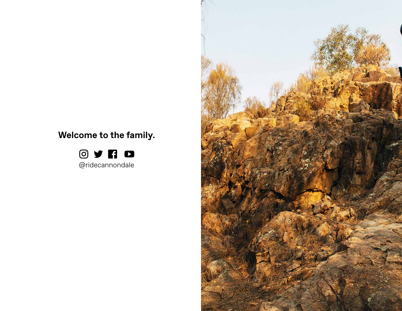## **Welcome to the family.**



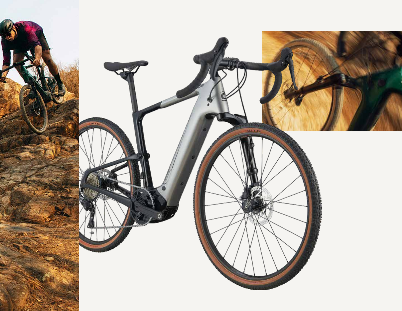